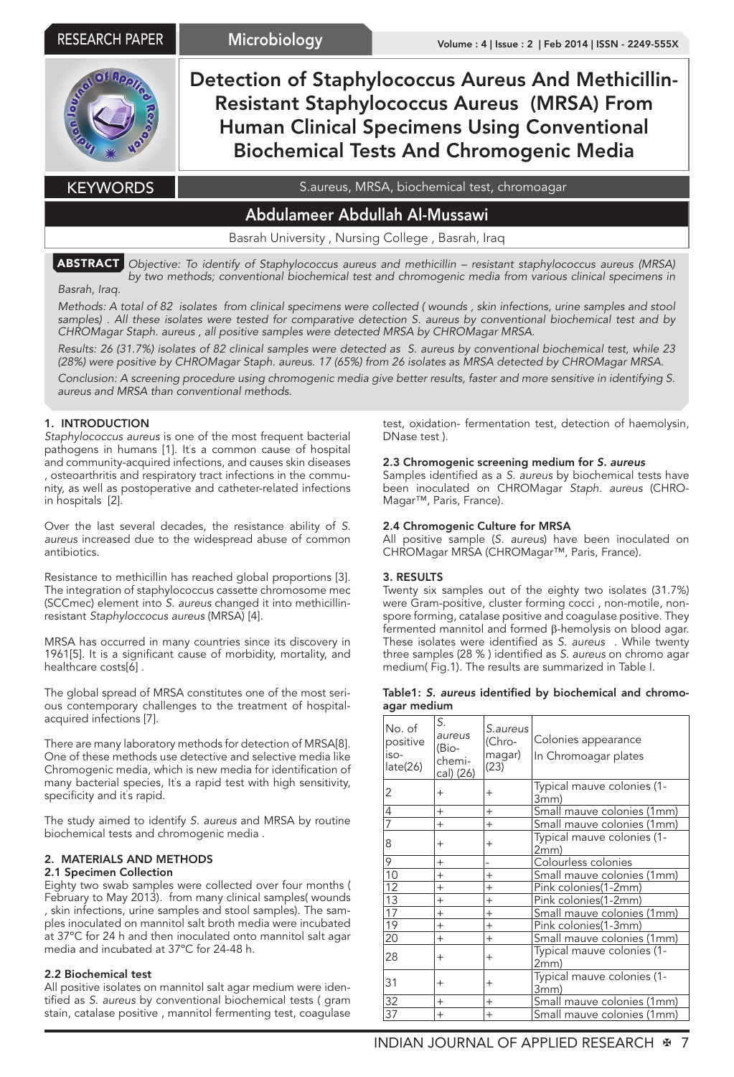

ABSTRACT *Objective: To identify of Staphylococcus aureus and methicillin – resistant staphylococcus aureus (MRSA) by two methods; conventional biochemical test and chromogenic media from various clinical specimens in* 

# *Basrah, Iraq.*

*Methods: A total of 82 isolates from clinical specimens were collected ( wounds , skin infections, urine samples and stool*  samples). All these isolates were tested for comparative detection S. aureus by conventional biochemical test and by *CHROMagar Staph. aureus , all positive samples were detected MRSA by CHROMagar MRSA.* 

*Results: 26 (31.7%) isolates of 82 clinical samples were detected as S. aureus by conventional biochemical test, while 23 (28%) were positive by CHROMagar Staph. aureus. 17 (65%) from 26 isolates as MRSA detected by CHROMagar MRSA.*

*Conclusion: A screening procedure using chromogenic media give better results, faster and more sensitive in identifying S. aureus and MRSA than conventional methods.*

# 1. INTRODUCTION

*Staphylococcus aureus* is one of the most frequent bacterial pathogens in humans [1]. It' s a common cause of hospital and community-acquired infections, and causes skin diseases , osteoarthritis and respiratory tract infections in the community, as well as postoperative and catheter-related infections in hospitals [2].

Over the last several decades, the resistance ability of *S. aureus* increased due to the widespread abuse of common antibiotics.

Resistance to methicillin has reached global proportions [3]. The integration of staphylococcus cassette chromosome mec (SCCmec) element into *S. aureus* changed it into methicillinresistant *Staphyloccocus aureus* (MRSA) [4].

MRSA has occurred in many countries since its discovery in 1961[5]. It is a significant cause of morbidity, mortality, and healthcare costs[6] .

The global spread of MRSA constitutes one of the most serious contemporary challenges to the treatment of hospitalacquired infections [7].

There are many laboratory methods for detection of MRSA[8]. One of these methods use detective and selective media like Chromogenic media, which is new media for identification of many bacterial species, It' s a rapid test with high sensitivity, specificity and it' s rapid.

The study aimed to identify *S. aureus* and MRSA by routine biochemical tests and chromogenic media .

## 2. MATERIALS AND METHODS

## 2.1 Specimen Collection

Eighty two swab samples were collected over four months ( February to May 2013). from many clinical samples( wounds , skin infections, urine samples and stool samples). The samples inoculated on mannitol salt broth media were incubated at 37ºC for 24 h and then inoculated onto mannitol salt agar media and incubated at 37ºC for 24-48 h.

## 2.2 Biochemical test

All positive isolates on mannitol salt agar medium were identified as *S. aureus* by conventional biochemical tests ( gram stain, catalase positive , mannitol fermenting test, coagulase

test, oxidation- fermentation test, detection of haemolysin, DNase test ).

### 2.3 Chromogenic screening medium for *S. aureus*

Samples identified as a *S. aureus* by biochemical tests have been inoculated on CHROMagar *Staph. aureus* (CHRO-Magar™, Paris, France).

## 2.4 Chromogenic Culture for MRSA

All positive sample (*S. aureus*) have been inoculated on CHROMagar MRSA (CHROMagar™, Paris, France).

### 3. RESULTS

Twenty six samples out of the eighty two isolates (31.7%) were Gram-positive, cluster forming cocci , non-motile, nonspore forming, catalase positive and coagulase positive. They fermented mannitol and formed β-hemolysis on blood agar. These isolates were identified as *S. aureus* . While twenty three samples (28 % ) identified as *S. aureus* on chromo agar medium( Fig.1). The results are summarized in Table I.

|             |  |  | Table1: S. aureus identified by biochemical and chromo- |  |
|-------------|--|--|---------------------------------------------------------|--|
| agar medium |  |  |                                                         |  |

| No. of<br>positive<br>iso-<br>late(26) | S.<br>aureus<br>(Bio-<br>chemi-<br>cal) (26) | S.aureus<br>(Chro-<br>magar)<br>(23) | Colonies appearance<br>In Chromoagar plates |
|----------------------------------------|----------------------------------------------|--------------------------------------|---------------------------------------------|
| 2                                      | $^{+}$                                       | $^{+}$                               | Typical mauve colonies (1-<br>3mm)          |
| 4                                      | $^{+}$                                       | $+$                                  | Small mauve colonies (1mm)                  |
| 7                                      | $^{+}$                                       | $+$                                  | Small mauve colonies (1mm)                  |
| 8                                      | $^{+}$                                       | $^{+}$                               | Typical mauve colonies (1-<br>2mm)          |
| 9                                      | $^{+}$                                       |                                      | Colourless colonies                         |
| 10                                     | $^{+}$                                       | $+$                                  | Small mauve colonies (1mm)                  |
| $\overline{12}$                        | $^{+}$                                       | $+$                                  | Pink colonies(1-2mm)                        |
| $\overline{13}$                        | $^{+}$                                       | $^{+}$                               | Pink colonies(1-2mm)                        |
| $\overline{17}$                        | $^{+}$                                       | $^{+}$                               | Small mauve colonies (1mm)                  |
| 19                                     | $^{+}$                                       | $+$                                  | Pink colonies(1-3mm)                        |
| 20                                     | $^{+}$                                       | $^{+}$                               | Small mauve colonies (1mm)                  |
| 28                                     | $^{+}$                                       | $^{+}$                               | Typical mauve colonies (1-<br>2mm)          |
| 31                                     | $^{+}$                                       | $^{+}$                               | Typical mauve colonies (1-<br>3mm)          |
| $\overline{32}$                        | $^{+}$                                       | $+$                                  | Small mauve colonies (1mm)                  |
| $\overline{37}$                        | $^{+}$                                       | $^{+}$                               | Small mauve colonies (1mm)                  |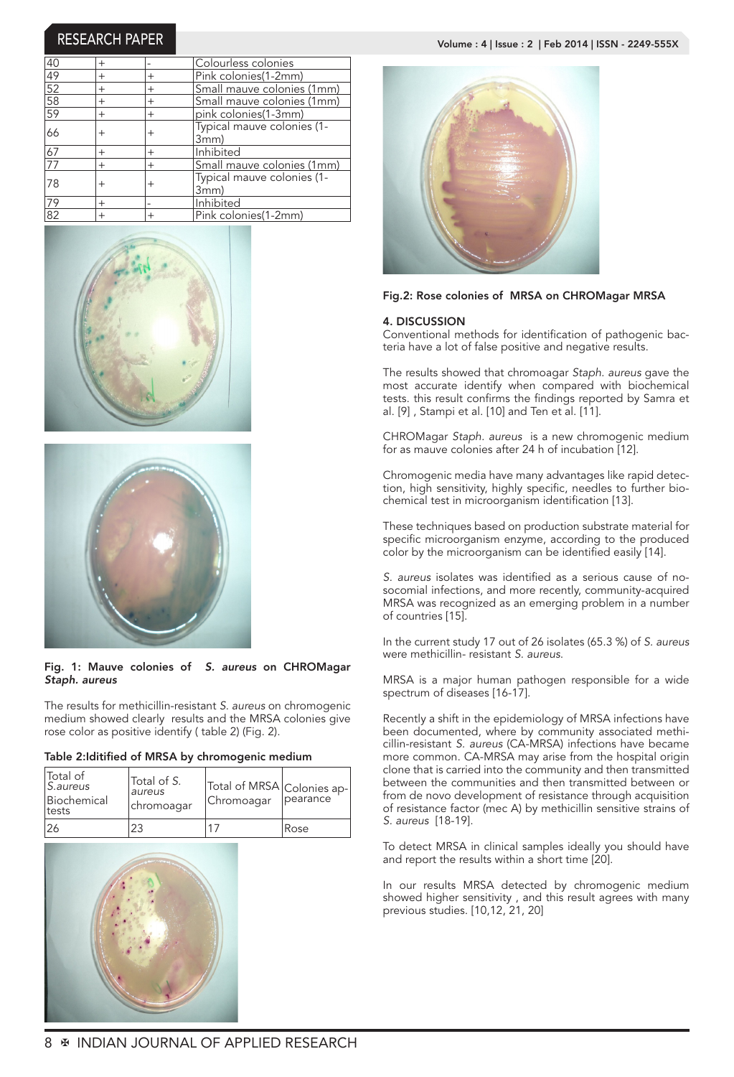| 40              | $^{+}$             |                | lColourless colonies               |
|-----------------|--------------------|----------------|------------------------------------|
| $\overline{49}$ | $^{+}$             | $^+$           | Pink colonies(1-2mm)               |
| $\frac{52}{58}$ | $^{+}$             | $^{+}$         | Small mauve colonies (1mm)         |
|                 | $^{+}$             | $^{+}$         | Small mauve colonies (1mm)         |
| 59              | $^{+}$             | $^{+}$         | pink colonies(1-3mm)               |
| 66              | $\hskip 0.025cm +$ | $^+$           | Typical mauve colonies (1-<br>3mm) |
| 67              | $\overline{+}$     | $\overline{+}$ | Inhibited                          |
| $\overline{77}$ | $^{+}$             | $^{+}$         | Small mauve colonies (1mm)         |
| 78              | $\hskip 0.025cm +$ | $^+$           | Typical mauve colonies (1-<br>3mm) |
| 79              | $^{+}$             |                | Inhibited                          |
| $\overline{82}$ | $^{+}$             | $^{+}$         | Pink colonies(1-2mm)               |





# Fig. 1: Mauve colonies of *S. aureus* on CHROMagar *Staph. aureus*

The results for methicillin-resistant *S. aureus* on chromogenic medium showed clearly results and the MRSA colonies give rose color as positive identify ( table 2) (Fig. 2).

| Table 2: Iditified of MRSA by chromogenic medium |  |  |  |
|--------------------------------------------------|--|--|--|
|--------------------------------------------------|--|--|--|

|    | Total of<br>S.aureus<br>Biochemical<br><b>Itests</b> | Total of S.<br>laureus<br>chromoagar | Total of MRSA Colonies ap-<br>Chromoagar | Ipearance |
|----|------------------------------------------------------|--------------------------------------|------------------------------------------|-----------|
| 26 |                                                      |                                      |                                          | Rose      |







# Fig.2: Rose colonies of MRSA on CHROMagar MRSA

### 4. DISCUSSION

Conventional methods for identification of pathogenic bacteria have a lot of false positive and negative results.

The results showed that chromoagar *Staph. aureus* gave the most accurate identify when compared with biochemical tests. this result confirms the findings reported by Samra et al. [9] , Stampi et al. [10] and Ten et al. [11].

CHROMagar *Staph. aureus* is a new chromogenic medium for as mauve colonies after 24 h of incubation [12].

Chromogenic media have many advantages like rapid detection, high sensitivity, highly specific, needles to further biochemical test in microorganism identification [13].

These techniques based on production substrate material for specific microorganism enzyme, according to the produced color by the microorganism can be identified easily [14].

*S. aureus* isolates was identified as a serious cause of nosocomial infections, and more recently, community-acquired MRSA was recognized as an emerging problem in a number of countries [15].

In the current study 17 out of 26 isolates (65.3 %) of *S. aureus* were methicillin- resistant *S. aureus*.

MRSA is a major human pathogen responsible for a wide spectrum of diseases [16-17].

Recently a shift in the epidemiology of MRSA infections have been documented, where by community associated methicillin-resistant *S. aureus* (CA-MRSA) infections have became more common. CA-MRSA may arise from the hospital origin clone that is carried into the community and then transmitted between the communities and then transmitted between or from de novo development of resistance through acquisition of resistance factor (mec A) by methicillin sensitive strains of *S. aureus* [18-19].

To detect MRSA in clinical samples ideally you should have and report the results within a short time [20].

In our results MRSA detected by chromogenic medium showed higher sensitivity , and this result agrees with many previous studies. [10,12, 21, 20]